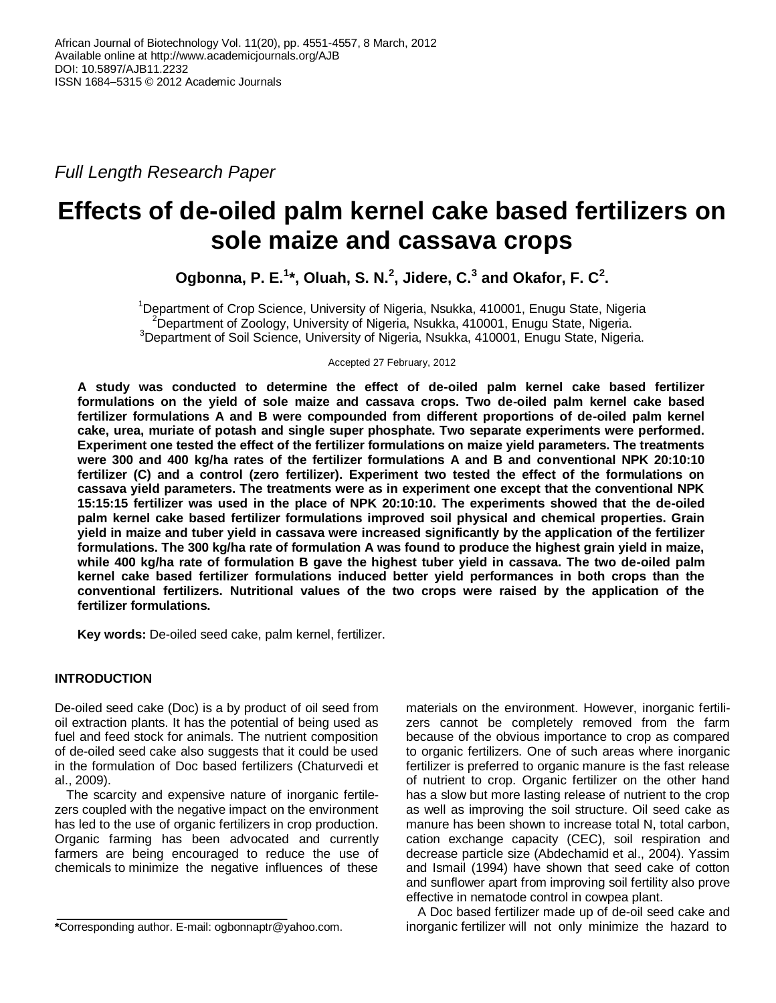*Full Length Research Paper*

# **Effects of de-oiled palm kernel cake based fertilizers on sole maize and cassava crops**

**Ogbonna, P. E.<sup>1</sup> \*, Oluah, S. N.<sup>2</sup> , Jidere, C.<sup>3</sup> and Okafor, F. C<sup>2</sup> .**

<sup>1</sup>Department of Crop Science, University of Nigeria, Nsukka, 410001, Enugu State, Nigeria <sup>2</sup>Department of Zoology, University of Nigeria, Nsukka, 410001, Enugu State, Nigeria. <sup>3</sup>Department of Soil Science, University of Nigeria, Nsukka, 410001, Enugu State, Nigeria.

Accepted 27 February, 2012

**A study was conducted to determine the effect of de-oiled palm kernel cake based fertilizer formulations on the yield of sole maize and cassava crops. Two de-oiled palm kernel cake based fertilizer formulations A and B were compounded from different proportions of de-oiled palm kernel cake, urea, muriate of potash and single super phosphate. Two separate experiments were performed. Experiment one tested the effect of the fertilizer formulations on maize yield parameters. The treatments were 300 and 400 kg/ha rates of the fertilizer formulations A and B and conventional NPK 20:10:10 fertilizer (C) and a control (zero fertilizer). Experiment two tested the effect of the formulations on cassava yield parameters. The treatments were as in experiment one except that the conventional NPK 15:15:15 fertilizer was used in the place of NPK 20:10:10. The experiments showed that the de-oiled palm kernel cake based fertilizer formulations improved soil physical and chemical properties. Grain yield in maize and tuber yield in cassava were increased significantly by the application of the fertilizer formulations. The 300 kg/ha rate of formulation A was found to produce the highest grain yield in maize, while 400 kg/ha rate of formulation B gave the highest tuber yield in cassava. The two de-oiled palm kernel cake based fertilizer formulations induced better yield performances in both crops than the conventional fertilizers. Nutritional values of the two crops were raised by the application of the fertilizer formulations.**

**Key words:** De-oiled seed cake, palm kernel, fertilizer.

# **INTRODUCTION**

De-oiled seed cake (Doc) is a by product of oil seed from oil extraction plants. It has the potential of being used as fuel and feed stock for animals. The nutrient composition of de-oiled seed cake also suggests that it could be used in the formulation of Doc based fertilizers (Chaturvedi et al., 2009).

The scarcity and expensive nature of inorganic fertilezers coupled with the negative impact on the environment has led to the use of organic fertilizers in crop production. Organic farming has been advocated and currently farmers are being encouraged to reduce the use of chemicals to minimize the negative influences of these

materials on the environment. However, inorganic fertilizers cannot be completely removed from the farm because of the obvious importance to crop as compared to organic fertilizers. One of such areas where inorganic fertilizer is preferred to organic manure is the fast release of nutrient to crop. Organic fertilizer on the other hand has a slow but more lasting release of nutrient to the crop as well as improving the soil structure. Oil seed cake as manure has been shown to increase total N, total carbon, cation exchange capacity (CEC), soil respiration and decrease particle size (Abdechamid et al., 2004). Yassim and Ismail (1994) have shown that seed cake of cotton and sunflower apart from improving soil fertility also prove effective in nematode control in cowpea plant.

A Doc based fertilizer made up of de-oil seed cake and inorganic fertilizer will not only minimize the hazard to

**<sup>\*</sup>**Corresponding author. E-mail: ogbonnaptr@yahoo.com.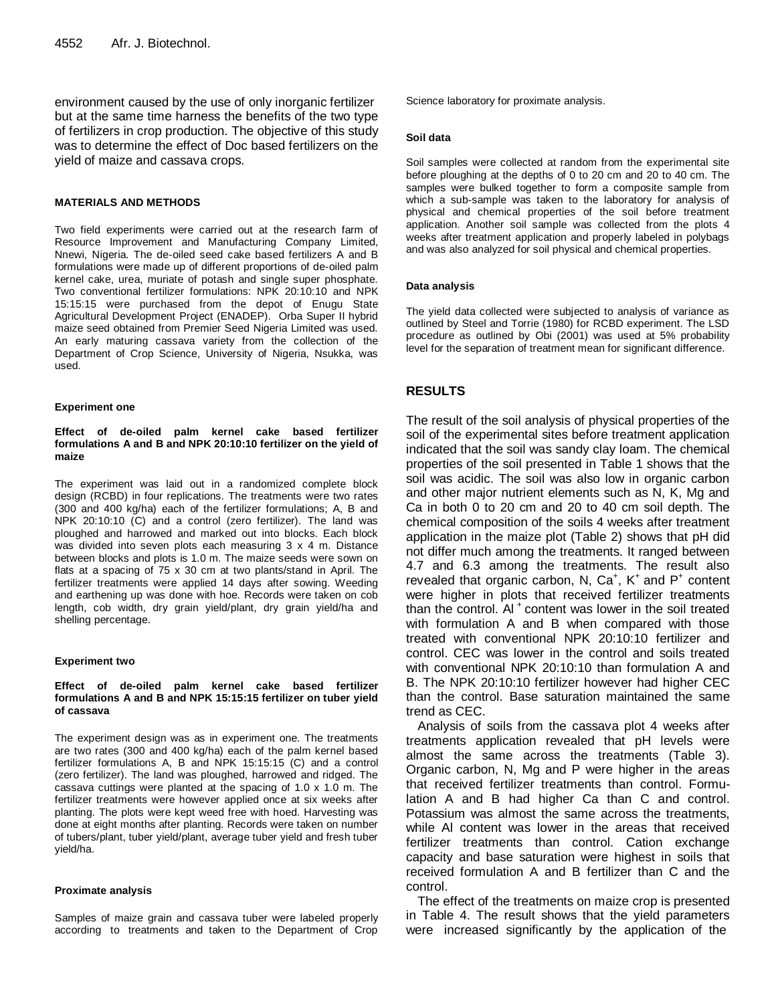environment caused by the use of only inorganic fertilizer but at the same time harness the benefits of the two type of fertilizers in crop production. The objective of this study was to determine the effect of Doc based fertilizers on the yield of maize and cassava crops.

## **MATERIALS AND METHODS**

Two field experiments were carried out at the research farm of Resource Improvement and Manufacturing Company Limited, Nnewi, Nigeria. The de-oiled seed cake based fertilizers A and B formulations were made up of different proportions of de-oiled palm kernel cake, urea, muriate of potash and single super phosphate. Two conventional fertilizer formulations: NPK 20:10:10 and NPK 15:15:15 were purchased from the depot of Enugu State Agricultural Development Project (ENADEP). Orba Super II hybrid maize seed obtained from Premier Seed Nigeria Limited was used. An early maturing cassava variety from the collection of the Department of Crop Science, University of Nigeria, Nsukka, was used.

#### **Experiment one**

#### **Effect of de-oiled palm kernel cake based fertilizer formulations A and B and NPK 20:10:10 fertilizer on the yield of maize**

The experiment was laid out in a randomized complete block design (RCBD) in four replications. The treatments were two rates (300 and 400 kg/ha) each of the fertilizer formulations; A, B and NPK 20:10:10 (C) and a control (zero fertilizer). The land was ploughed and harrowed and marked out into blocks. Each block was divided into seven plots each measuring 3 x 4 m. Distance between blocks and plots is 1.0 m. The maize seeds were sown on flats at a spacing of 75 x 30 cm at two plants/stand in April. The fertilizer treatments were applied 14 days after sowing. Weeding and earthening up was done with hoe. Records were taken on cob length, cob width, dry grain yield/plant, dry grain yield/ha and shelling percentage.

#### **Experiment two**

#### **Effect of de-oiled palm kernel cake based fertilizer formulations A and B and NPK 15:15:15 fertilizer on tuber yield of cassava**

The experiment design was as in experiment one. The treatments are two rates (300 and 400 kg/ha) each of the palm kernel based fertilizer formulations A, B and NPK 15:15:15 (C) and a control (zero fertilizer). The land was ploughed, harrowed and ridged. The cassava cuttings were planted at the spacing of 1.0 x 1.0 m. The fertilizer treatments were however applied once at six weeks after planting. The plots were kept weed free with hoed. Harvesting was done at eight months after planting. Records were taken on number of tubers/plant, tuber yield/plant, average tuber yield and fresh tuber yield/ha.

#### **Proximate analysis**

Samples of maize grain and cassava tuber were labeled properly according to treatments and taken to the Department of Crop Science laboratory for proximate analysis.

#### **Soil data**

Soil samples were collected at random from the experimental site before ploughing at the depths of 0 to 20 cm and 20 to 40 cm. The samples were bulked together to form a composite sample from which a sub-sample was taken to the laboratory for analysis of physical and chemical properties of the soil before treatment application. Another soil sample was collected from the plots 4 weeks after treatment application and properly labeled in polybags and was also analyzed for soil physical and chemical properties.

#### **Data analysis**

The yield data collected were subjected to analysis of variance as outlined by Steel and Torrie (1980) for RCBD experiment. The LSD procedure as outlined by Obi (2001) was used at 5% probability level for the separation of treatment mean for significant difference.

## **RESULTS**

The result of the soil analysis of physical properties of the soil of the experimental sites before treatment application indicated that the soil was sandy clay loam. The chemical properties of the soil presented in Table 1 shows that the soil was acidic. The soil was also low in organic carbon and other major nutrient elements such as N, K, Mg and Ca in both 0 to 20 cm and 20 to 40 cm soil depth. The chemical composition of the soils 4 weeks after treatment application in the maize plot (Table 2) shows that pH did not differ much among the treatments. It ranged between 4.7 and 6.3 among the treatments. The result also revealed that organic carbon, N,  $Ca<sup>+</sup>$ , K<sup>+</sup> and P<sup>+</sup> content were higher in plots that received fertilizer treatments than the control. Al<sup>+</sup> content was lower in the soil treated with formulation A and B when compared with those treated with conventional NPK 20:10:10 fertilizer and control. CEC was lower in the control and soils treated with conventional NPK 20:10:10 than formulation A and B. The NPK 20:10:10 fertilizer however had higher CEC than the control. Base saturation maintained the same trend as CEC.

Analysis of soils from the cassava plot 4 weeks after treatments application revealed that pH levels were almost the same across the treatments (Table 3). Organic carbon, N, Mg and P were higher in the areas that received fertilizer treatments than control. Formulation A and B had higher Ca than C and control. Potassium was almost the same across the treatments, while Al content was lower in the areas that received fertilizer treatments than control. Cation exchange capacity and base saturation were highest in soils that received formulation A and B fertilizer than C and the control.

The effect of the treatments on maize crop is presented in Table 4. The result shows that the yield parameters were increased significantly by the application of the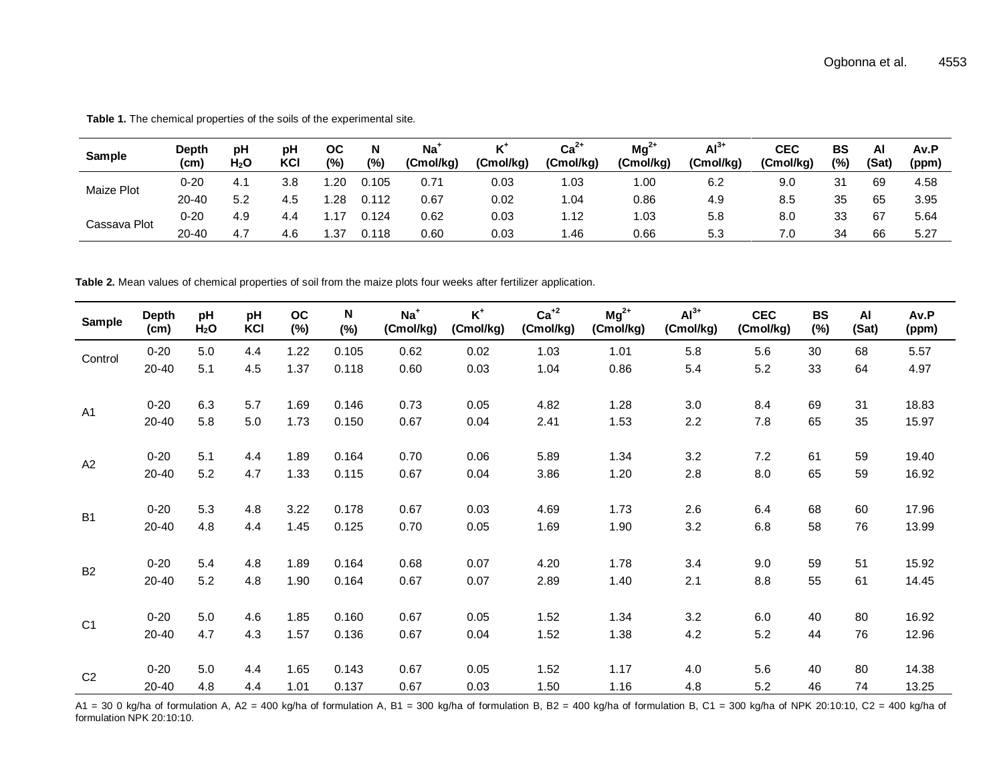| Sample       | Depth<br>(c <sub>m</sub> ) | рH<br>H <sub>2</sub> O | рH<br>KCI  | ос<br>(%) | N<br>(%) | Na <sup>+</sup><br>(Cmol/kg) | Κ'<br>(Cmol/kg) | $Ca2+$<br>(Cmol/kg) | $Mg^{2+}$<br>(Cmol/kg) | $Al3+$<br>(Cmol/kg) | CEC<br>(Cmol/kg) | BS<br>(%) | Αl<br>(Sat) | Av.P<br>(ppm) |
|--------------|----------------------------|------------------------|------------|-----------|----------|------------------------------|-----------------|---------------------|------------------------|---------------------|------------------|-----------|-------------|---------------|
| Maize Plot   | $0 - 20$                   | 4.                     | 3.8        | 1.20      | 0.105    | 0.71                         | 0.03            | l.03                | 00. ا                  | 6.2                 | 9.0              | 21        | 69          | 4.58          |
|              | $20 - 40$                  | 5.2                    | 4.5        | .28       | 0.112    | 0.67                         | 0.02            | 1.04                | 0.86                   | 4.9                 | 8.5              | 35        | 65          | 3.95          |
| Cassava Plot | $0 - 20$                   | 4.9                    |            |           | ).124    | 0.62                         | 0.03            | l.12                | l.O3                   | 5.8                 | 8.0              | 33        | 67          | 5.64          |
|              | 20-40                      | 4.7                    | 1 C<br>4.C | .37       | 0.118    | 0.60                         | 0.03            | 46. ا               | 0.66                   | 5.3                 | 7.0              | 34        | 66          | 5.27          |

**Table 1.** The chemical properties of the soils of the experimental site.

**Table 2.** Mean values of chemical properties of soil from the maize plots four weeks after fertilizer application.

| Sample         | <b>Depth</b><br>(cm) | pH<br>H <sub>2</sub> O | pH<br>KCI | <b>OC</b><br>(%) | N<br>$(\%)$ | $Na+$<br>(Cmol/kg) | $K^+$<br>(Cmol/kg) | $Ca+2$<br>(Cmol/kg) | $Mg^{2+}$<br>(Cmol/kg) | $Al3+$<br>(Cmol/kg) | <b>CEC</b><br>(Cmol/kg) | <b>BS</b><br>(%) | AI<br>(Sat) | Av.P<br>(ppm) |
|----------------|----------------------|------------------------|-----------|------------------|-------------|--------------------|--------------------|---------------------|------------------------|---------------------|-------------------------|------------------|-------------|---------------|
|                | $0 - 20$             | 5.0                    | 4.4       | 1.22             | 0.105       | 0.62               | 0.02               | 1.03                | 1.01                   | 5.8                 | 5.6                     | 30               | 68          | 5.57          |
| Control        | 20-40                | 5.1                    | 4.5       | 1.37             | 0.118       | 0.60               | 0.03               | 1.04                | 0.86                   | 5.4                 | 5.2                     | 33               | 64          | 4.97          |
|                | $0 - 20$             | 6.3                    | 5.7       | 1.69             | 0.146       | 0.73               | 0.05               | 4.82                | 1.28                   | 3.0                 | 8.4                     | 69               | 31          | 18.83         |
| A1             | 20-40                | 5.8                    | 5.0       | 1.73             | 0.150       | 0.67               | 0.04               | 2.41                | 1.53                   | 2.2                 | 7.8                     | 65               | 35          | 15.97         |
|                |                      |                        |           |                  |             |                    |                    |                     |                        |                     |                         |                  |             |               |
| A2             | $0 - 20$             | 5.1                    | 4.4       | 1.89             | 0.164       | 0.70               | 0.06               | 5.89                | 1.34                   | 3.2                 | 7.2                     | 61               | 59          | 19.40         |
|                | 20-40                | 5.2                    | 4.7       | 1.33             | 0.115       | 0.67               | 0.04               | 3.86                | 1.20                   | 2.8                 | 8.0                     | 65               | 59          | 16.92         |
|                |                      |                        |           |                  |             |                    |                    |                     |                        |                     |                         |                  |             |               |
| <b>B1</b>      | $0 - 20$             | 5.3                    | 4.8       | 3.22             | 0.178       | 0.67               | 0.03               | 4.69                | 1.73                   | 2.6                 | 6.4                     | 68               | 60          | 17.96         |
|                | 20-40                | 4.8                    | 4.4       | 1.45             | 0.125       | 0.70               | 0.05               | 1.69                | 1.90                   | 3.2                 | 6.8                     | 58               | 76          | 13.99         |
|                | $0 - 20$             | 5.4                    | 4.8       | 1.89             | 0.164       | 0.68               | 0.07               | 4.20                | 1.78                   | 3.4                 | 9.0                     | 59               | 51          | 15.92         |
| <b>B2</b>      |                      |                        |           |                  |             |                    |                    |                     |                        |                     |                         |                  |             |               |
|                | 20-40                | 5.2                    | 4.8       | 1.90             | 0.164       | 0.67               | 0.07               | 2.89                | 1.40                   | 2.1                 | 8.8                     | 55               | 61          | 14.45         |
|                | $0 - 20$             | 5.0                    | 4.6       | 1.85             | 0.160       | 0.67               | 0.05               | 1.52                | 1.34                   | 3.2                 | 6.0                     | 40               | 80          | 16.92         |
| C <sub>1</sub> | 20-40                | 4.7                    | 4.3       | 1.57             | 0.136       | 0.67               | 0.04               | 1.52                | 1.38                   | 4.2                 | 5.2                     | 44               | 76          | 12.96         |
|                |                      |                        |           |                  |             |                    |                    |                     |                        |                     |                         |                  |             |               |
| C <sub>2</sub> | $0 - 20$             | 5.0                    | 4.4       | 1.65             | 0.143       | 0.67               | 0.05               | 1.52                | 1.17                   | 4.0                 | 5.6                     | 40               | 80          | 14.38         |
|                | 20-40                | 4.8                    | 4.4       | 1.01             | 0.137       | 0.67               | 0.03               | 1.50                | 1.16                   | 4.8                 | 5.2                     | 46               | 74          | 13.25         |

A1 = 30 0 kg/ha of formulation A, A2 = 400 kg/ha of formulation A, B1 = 300 kg/ha of formulation B, B2 = 400 kg/ha of formulation B, C1 = 300 kg/ha of NPK 20:10:10, C2 = 400 kg/ha of formulation NPK 20:10:10.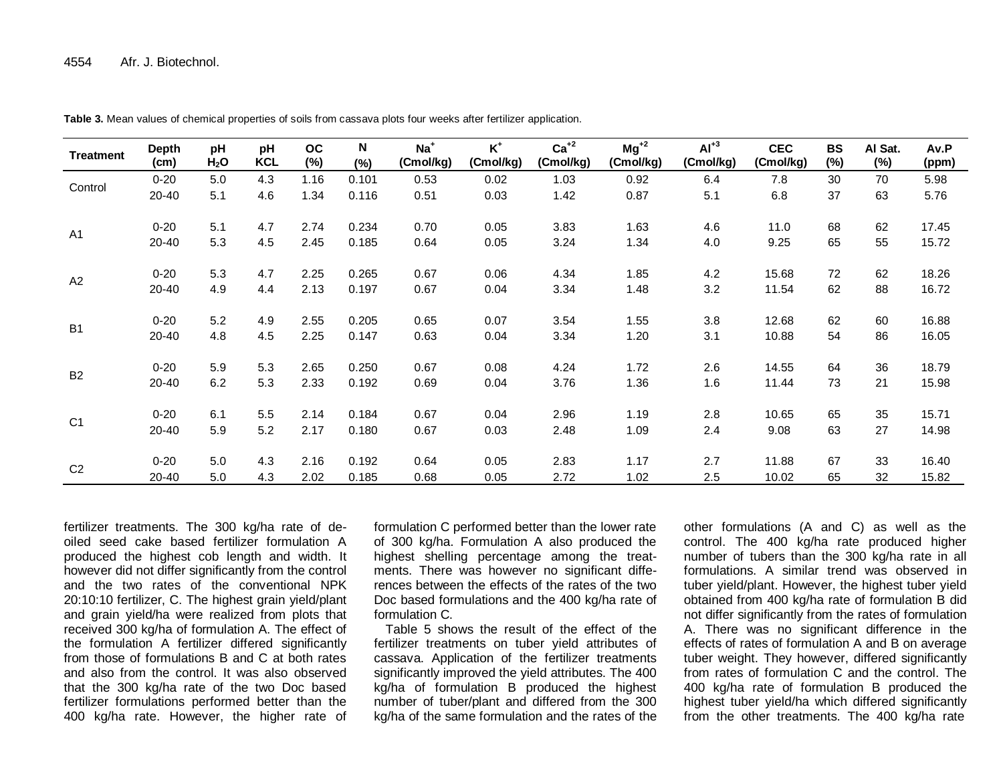| <b>Treatment</b> | <b>Depth</b><br>(cm) | pH<br>H <sub>2</sub> O | pH<br><b>KCL</b> | <b>OC</b><br>$(\%)$ | $\boldsymbol{\mathsf{N}}$<br>$(\%)$ | $Na+$<br>(Cmol/kg) | $\mathsf{K}^{\scriptscriptstyle{+}}$<br>(Cmol/kg) | $Ca+2$<br>(Cmol/kg) | $Mg^{+2}$<br>(Cmol/kg) | $Al+3$<br>(Cmol/kg) | <b>CEC</b><br>(Cmol/kg) | <b>BS</b><br>(%) | Al Sat.<br>(%) | Av.P<br>(ppm) |
|------------------|----------------------|------------------------|------------------|---------------------|-------------------------------------|--------------------|---------------------------------------------------|---------------------|------------------------|---------------------|-------------------------|------------------|----------------|---------------|
|                  | $0 - 20$             | 5.0                    | 4.3              | 1.16                | 0.101                               | 0.53               | 0.02                                              | 1.03                | 0.92                   | 6.4                 | 7.8                     | 30               | 70             | 5.98          |
| Control          | 20-40                | 5.1                    | 4.6              | 1.34                | 0.116                               | 0.51               | 0.03                                              | 1.42                | 0.87                   | 5.1                 | 6.8                     | 37               | 63             | 5.76          |
| A <sub>1</sub>   | $0 - 20$             | 5.1                    | 4.7              | 2.74                | 0.234                               | 0.70               | 0.05                                              | 3.83                | 1.63                   | 4.6                 | 11.0                    | 68               | 62             | 17.45         |
|                  | 20-40                | 5.3                    | 4.5              | 2.45                | 0.185                               | 0.64               | 0.05                                              | 3.24                | 1.34                   | 4.0                 | 9.25                    | 65               | 55             | 15.72         |
| A2               | $0 - 20$             | 5.3                    | 4.7              | 2.25                | 0.265                               | 0.67               | 0.06                                              | 4.34                | 1.85                   | 4.2                 | 15.68                   | 72               | 62             | 18.26         |
|                  | 20-40                | 4.9                    | 4.4              | 2.13                | 0.197                               | 0.67               | 0.04                                              | 3.34                | 1.48                   | 3.2                 | 11.54                   | 62               | 88             | 16.72         |
| B <sub>1</sub>   | $0 - 20$             | 5.2                    | 4.9              | 2.55                | 0.205                               | 0.65               | 0.07                                              | 3.54                | 1.55                   | 3.8                 | 12.68                   | 62               | 60             | 16.88         |
|                  | 20-40                | 4.8                    | 4.5              | 2.25                | 0.147                               | 0.63               | 0.04                                              | 3.34                | 1.20                   | 3.1                 | 10.88                   | 54               | 86             | 16.05         |
| <b>B2</b>        | $0 - 20$             | 5.9                    | 5.3              | 2.65                | 0.250                               | 0.67               | 0.08                                              | 4.24                | 1.72                   | 2.6                 | 14.55                   | 64               | 36             | 18.79         |
|                  | 20-40                | 6.2                    | 5.3              | 2.33                | 0.192                               | 0.69               | 0.04                                              | 3.76                | 1.36                   | 1.6                 | 11.44                   | 73               | 21             | 15.98         |
|                  | $0 - 20$             | 6.1                    | 5.5              | 2.14                | 0.184                               | 0.67               | 0.04                                              | 2.96                | 1.19                   | 2.8                 | 10.65                   | 65               | 35             | 15.71         |
| C <sub>1</sub>   | 20-40                | 5.9                    | 5.2              | 2.17                | 0.180                               | 0.67               | 0.03                                              | 2.48                | 1.09                   | 2.4                 | 9.08                    | 63               | 27             | 14.98         |
|                  | $0 - 20$             | 5.0                    | 4.3              | 2.16                | 0.192                               | 0.64               | 0.05                                              | 2.83                | 1.17                   | 2.7                 | 11.88                   | 67               | 33             | 16.40         |
| C <sub>2</sub>   | 20-40                | 5.0                    | 4.3              | 2.02                | 0.185                               | 0.68               | 0.05                                              | 2.72                | 1.02                   | 2.5                 | 10.02                   | 65               | 32             | 15.82         |

**Table 3.** Mean values of chemical properties of soils from cassava plots four weeks after fertilizer application.

fertilizer treatments. The 300 kg/ha rate of deoiled seed cake based fertilizer formulation A produced the highest cob length and width. It however did not differ significantly from the control and the two rates of the conventional NPK 20:10:10 fertilizer, C. The highest grain yield/plant and grain yield/ha were realized from plots that received 300 kg/ha of formulation A. The effect of the formulation A fertilizer differed significantly from those of formulations B and C at both rates and also from the control. It was also observed that the 300 kg/ha rate of the two Doc based fertilizer formulations performed better than the 400 kg/ha rate. However, the higher rate of

formulation C performed better than the lower rate of 300 kg/ha. Formulation A also produced the highest shelling percentage among the treatments. There was however no significant differences between the effects of the rates of the two Doc based formulations and the 400 kg/ha rate of formulation C.

Table 5 shows the result of the effect of the fertilizer treatments on tuber yield attributes of cassava. Application of the fertilizer treatments significantly improved the yield attributes. The 400 kg/ha of formulation B produced the highest number of tuber/plant and differed from the 300 kg/ha of the same formulation and the rates of the

other formulations (A and C) as well as the control. The 400 kg/ha rate produced higher number of tubers than the 300 kg/ha rate in all formulations. A similar trend was observed in tuber yield/plant. However, the highest tuber yield obtained from 400 kg/ha rate of formulation B did not differ significantly from the rates of formulation A. There was no significant difference in the effects of rates of formulation A and B on average tuber weight. They however, differed significantly from rates of formulation C and the control. The 400 kg/ha rate of formulation B produced the highest tuber yield/ha which differed significantly from the other treatments. The 400 kg/ha rate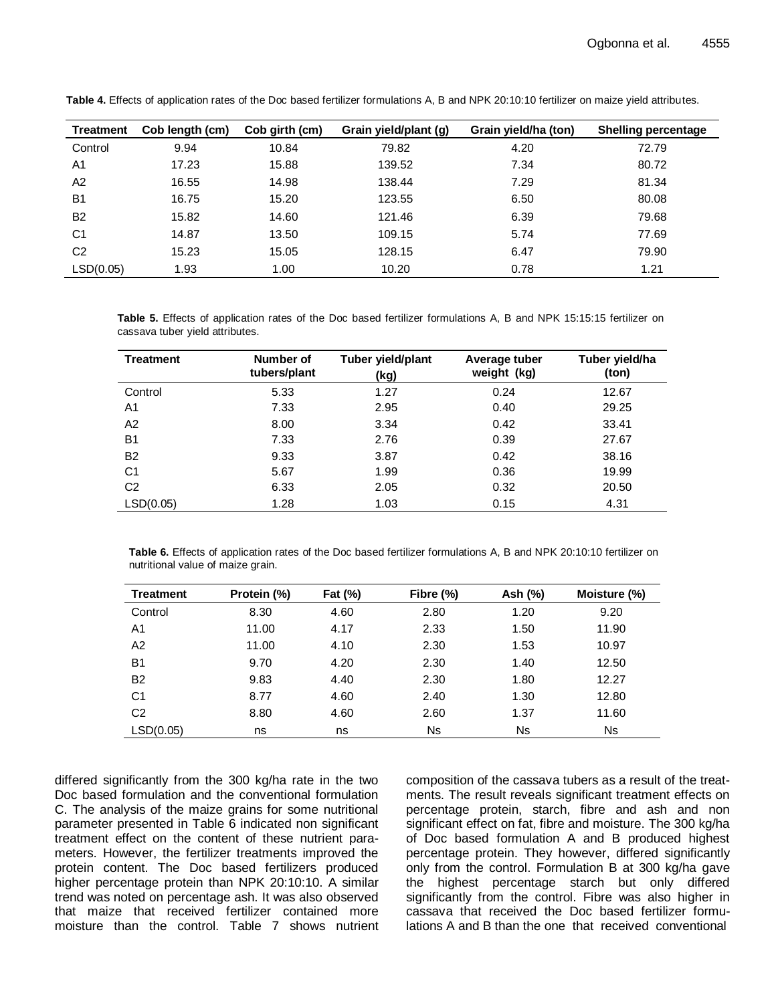| <b>Treatment</b> | Cob length (cm) | Cob girth (cm) | Grain yield/plant (g) | Grain yield/ha (ton) | <b>Shelling percentage</b> |
|------------------|-----------------|----------------|-----------------------|----------------------|----------------------------|
| Control          | 9.94            | 10.84          | 79.82                 | 4.20                 | 72.79                      |
| A <sub>1</sub>   | 17.23           | 15.88          | 139.52                | 7.34                 | 80.72                      |
| A2               | 16.55           | 14.98          | 138.44                | 7.29                 | 81.34                      |
| B <sub>1</sub>   | 16.75           | 15.20          | 123.55                | 6.50                 | 80.08                      |
| B <sub>2</sub>   | 15.82           | 14.60          | 121.46                | 6.39                 | 79.68                      |
| C <sub>1</sub>   | 14.87           | 13.50          | 109.15                | 5.74                 | 77.69                      |
| C <sub>2</sub>   | 15.23           | 15.05          | 128.15                | 6.47                 | 79.90                      |
| LSD(0.05)        | 1.93            | 1.00           | 10.20                 | 0.78                 | 1.21                       |

**Table 4.** Effects of application rates of the Doc based fertilizer formulations A, B and NPK 20:10:10 fertilizer on maize yield attributes.

**Table 5.** Effects of application rates of the Doc based fertilizer formulations A, B and NPK 15:15:15 fertilizer on cassava tuber yield attributes.

| <b>Treatment</b> | Number of<br>tubers/plant | Tuber yield/plant<br>(kg) | Average tuber<br>weight (kg) | Tuber yield/ha<br>(ton) |
|------------------|---------------------------|---------------------------|------------------------------|-------------------------|
| Control          | 5.33                      | 1.27                      | 0.24                         | 12.67                   |
| A1               | 7.33                      | 2.95                      | 0.40                         | 29.25                   |
| A2               | 8.00                      | 3.34                      | 0.42                         | 33.41                   |
| <b>B1</b>        | 7.33                      | 2.76                      | 0.39                         | 27.67                   |
| <b>B2</b>        | 9.33                      | 3.87                      | 0.42                         | 38.16                   |
| C <sub>1</sub>   | 5.67                      | 1.99                      | 0.36                         | 19.99                   |
| C <sub>2</sub>   | 6.33                      | 2.05                      | 0.32                         | 20.50                   |
| LSD(0.05)        | 1.28                      | 1.03                      | 0.15                         | 4.31                    |

**Table 6.** Effects of application rates of the Doc based fertilizer formulations A, B and NPK 20:10:10 fertilizer on nutritional value of maize grain.

| <b>Treatment</b> | Protein (%) | <b>Fat (%)</b> | Fibre (%) | Ash (%) | Moisture (%) |
|------------------|-------------|----------------|-----------|---------|--------------|
| Control          | 8.30        | 4.60           | 2.80      | 1.20    | 9.20         |
| A <sub>1</sub>   | 11.00       | 4.17           | 2.33      | 1.50    | 11.90        |
| A2               | 11.00       | 4.10           | 2.30      | 1.53    | 10.97        |
| B <sub>1</sub>   | 9.70        | 4.20           | 2.30      | 1.40    | 12.50        |
| <b>B2</b>        | 9.83        | 4.40           | 2.30      | 1.80    | 12.27        |
| C <sub>1</sub>   | 8.77        | 4.60           | 2.40      | 1.30    | 12.80        |
| C <sub>2</sub>   | 8.80        | 4.60           | 2.60      | 1.37    | 11.60        |
| LSD(0.05)        | ns          | ns             | <b>Ns</b> | Ns      | <b>Ns</b>    |

differed significantly from the 300 kg/ha rate in the two Doc based formulation and the conventional formulation C. The analysis of the maize grains for some nutritional parameter presented in Table 6 indicated non significant treatment effect on the content of these nutrient parameters. However, the fertilizer treatments improved the protein content. The Doc based fertilizers produced higher percentage protein than NPK 20:10:10. A similar trend was noted on percentage ash. It was also observed that maize that received fertilizer contained more moisture than the control. Table 7 shows nutrient

composition of the cassava tubers as a result of the treatments. The result reveals significant treatment effects on percentage protein, starch, fibre and ash and non significant effect on fat, fibre and moisture. The 300 kg/ha of Doc based formulation A and B produced highest percentage protein. They however, differed significantly only from the control. Formulation B at 300 kg/ha gave the highest percentage starch but only differed significantly from the control. Fibre was also higher in cassava that received the Doc based fertilizer formulations A and B than the one that received conventional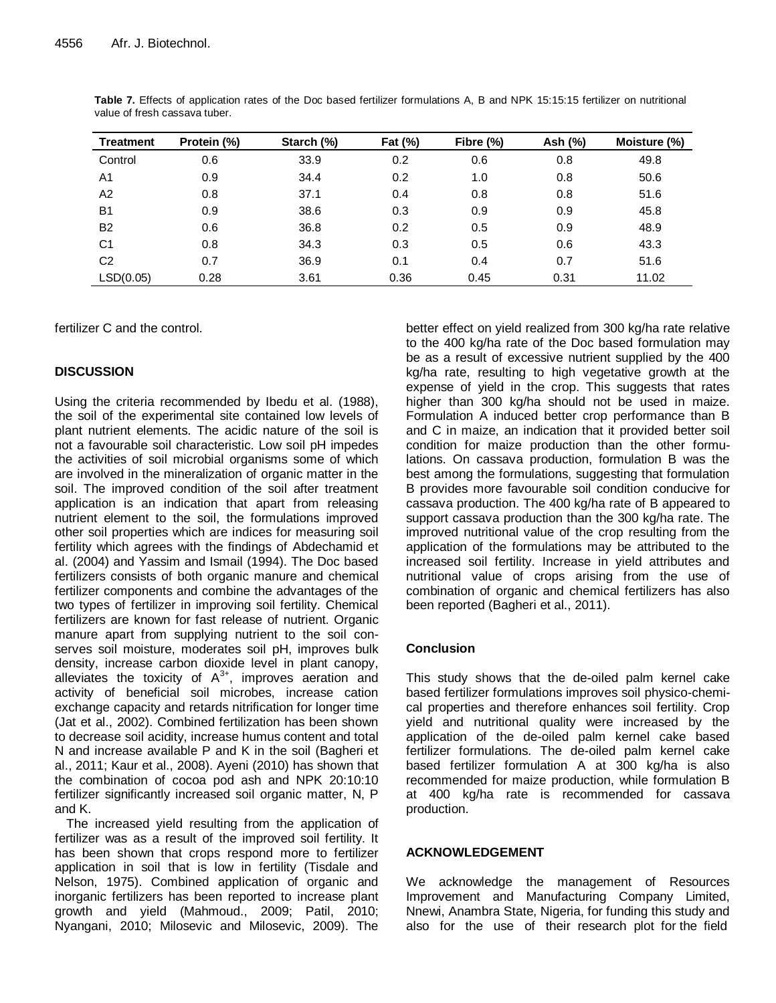| <b>Treatment</b> | Protein (%) | Starch (%) | Fat (%) | Fibre (%) | Ash (%) | Moisture (%) |
|------------------|-------------|------------|---------|-----------|---------|--------------|
| Control          | 0.6         | 33.9       | 0.2     | 0.6       | 0.8     | 49.8         |
| A1               | 0.9         | 34.4       | 0.2     | 1.0       | 0.8     | 50.6         |
| A <sub>2</sub>   | 0.8         | 37.1       | 0.4     | 0.8       | 0.8     | 51.6         |
| <b>B1</b>        | 0.9         | 38.6       | 0.3     | 0.9       | 0.9     | 45.8         |
| <b>B2</b>        | 0.6         | 36.8       | 0.2     | 0.5       | 0.9     | 48.9         |
| C1               | 0.8         | 34.3       | 0.3     | 0.5       | 0.6     | 43.3         |
| C <sub>2</sub>   | 0.7         | 36.9       | 0.1     | 0.4       | 0.7     | 51.6         |
| LSD(0.05)        | 0.28        | 3.61       | 0.36    | 0.45      | 0.31    | 11.02        |

**Table 7.** Effects of application rates of the Doc based fertilizer formulations A, B and NPK 15:15:15 fertilizer on nutritional value of fresh cassava tuber.

fertilizer C and the control.

# **DISCUSSION**

Using the criteria recommended by Ibedu et al. (1988), the soil of the experimental site contained low levels of plant nutrient elements. The acidic nature of the soil is not a favourable soil characteristic. Low soil pH impedes the activities of soil microbial organisms some of which are involved in the mineralization of organic matter in the soil. The improved condition of the soil after treatment application is an indication that apart from releasing nutrient element to the soil, the formulations improved other soil properties which are indices for measuring soil fertility which agrees with the findings of Abdechamid et al. (2004) and Yassim and Ismail (1994). The Doc based fertilizers consists of both organic manure and chemical fertilizer components and combine the advantages of the two types of fertilizer in improving soil fertility. Chemical fertilizers are known for fast release of nutrient. Organic manure apart from supplying nutrient to the soil conserves soil moisture, moderates soil pH, improves bulk density, increase carbon dioxide level in plant canopy, alleviates the toxicity of  $A^{3+}$ , improves aeration and activity of beneficial soil microbes, increase cation exchange capacity and retards nitrification for longer time (Jat et al., 2002). Combined fertilization has been shown to decrease soil acidity, increase humus content and total N and increase available P and K in the soil (Bagheri et al., 2011; Kaur et al., 2008). Ayeni (2010) has shown that the combination of cocoa pod ash and NPK 20:10:10 fertilizer significantly increased soil organic matter, N, P and K.

The increased yield resulting from the application of fertilizer was as a result of the improved soil fertility. It has been shown that crops respond more to fertilizer application in soil that is low in fertility (Tisdale and Nelson, 1975). Combined application of organic and inorganic fertilizers has been reported to increase plant growth and yield (Mahmoud., 2009; Patil, 2010; Nyangani, 2010; Milosevic and Milosevic, 2009). The

better effect on yield realized from 300 kg/ha rate relative to the 400 kg/ha rate of the Doc based formulation may be as a result of excessive nutrient supplied by the 400 kg/ha rate, resulting to high vegetative growth at the expense of yield in the crop. This suggests that rates higher than 300 kg/ha should not be used in maize. Formulation A induced better crop performance than B and C in maize, an indication that it provided better soil condition for maize production than the other formulations. On cassava production, formulation B was the best among the formulations, suggesting that formulation B provides more favourable soil condition conducive for cassava production. The 400 kg/ha rate of B appeared to support cassava production than the 300 kg/ha rate. The improved nutritional value of the crop resulting from the application of the formulations may be attributed to the increased soil fertility. Increase in yield attributes and nutritional value of crops arising from the use of combination of organic and chemical fertilizers has also been reported (Bagheri et al., 2011).

# **Conclusion**

This study shows that the de-oiled palm kernel cake based fertilizer formulations improves soil physico-chemical properties and therefore enhances soil fertility. Crop yield and nutritional quality were increased by the application of the de-oiled palm kernel cake based fertilizer formulations. The de-oiled palm kernel cake based fertilizer formulation A at 300 kg/ha is also recommended for maize production, while formulation B at 400 kg/ha rate is recommended for cassava production.

# **ACKNOWLEDGEMENT**

We acknowledge the management of Resources Improvement and Manufacturing Company Limited, Nnewi, Anambra State, Nigeria, for funding this study and also for the use of their research plot for the field